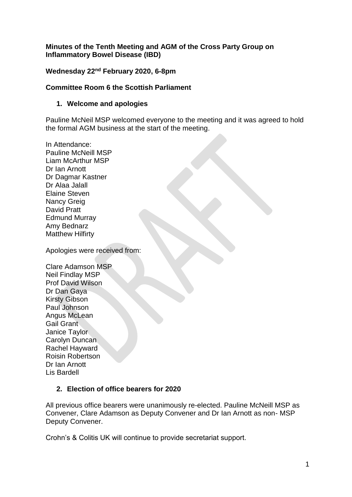#### **Minutes of the Tenth Meeting and AGM of the Cross Party Group on Inflammatory Bowel Disease (IBD)**

### **Wednesday 22nd February 2020, 6-8pm**

### **Committee Room 6 the Scottish Parliament**

#### **1. Welcome and apologies**

Pauline McNeil MSP welcomed everyone to the meeting and it was agreed to hold the formal AGM business at the start of the meeting.

In Attendance: Pauline McNeill MSP Liam McArthur MSP Dr Ian Arnott Dr Dagmar Kastner Dr Alaa Jalall Elaine Steven Nancy Greig David Pratt Edmund Murray Amy Bednarz Matthew Hilfirty

Apologies were received from:

Clare Adamson MSP Neil Findlay MSP Prof David Wilson Dr Dan Gaya Kirsty Gibson Paul Johnson Angus McLean Gail Grant Janice Taylor Carolyn Duncan Rachel Hayward Roisin Robertson Dr Ian Arnott Lis Bardell

### **2. Election of office bearers for 2020**

All previous office bearers were unanimously re-elected. Pauline McNeill MSP as Convener, Clare Adamson as Deputy Convener and Dr Ian Arnott as non- MSP Deputy Convener.

Crohn's & Colitis UK will continue to provide secretariat support.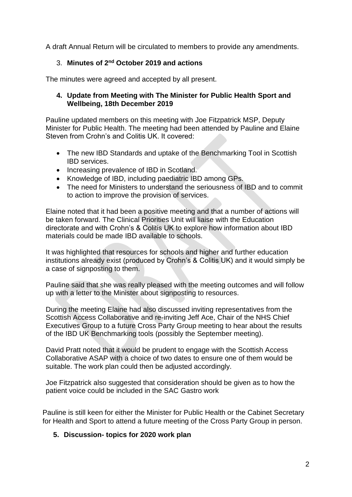A draft Annual Return will be circulated to members to provide any amendments.

# 3. **Minutes of 2nd October 2019 and actions**

The minutes were agreed and accepted by all present.

#### **4. Update from Meeting with The Minister for Public Health Sport and Wellbeing, 18th December 2019**

Pauline updated members on this meeting with Joe Fitzpatrick MSP, Deputy Minister for Public Health. The meeting had been attended by Pauline and Elaine Steven from Crohn's and Colitis UK. It covered:

- The new IBD Standards and uptake of the Benchmarking Tool in Scottish IBD services.
- Increasing prevalence of IBD in Scotland.
- Knowledge of IBD, including paediatric IBD among GPs.
- The need for Ministers to understand the seriousness of IBD and to commit to action to improve the provision of services.

Elaine noted that it had been a positive meeting and that a number of actions will be taken forward. The Clinical Priorities Unit will liaise with the Education directorate and with Crohn's & Colitis UK to explore how information about IBD materials could be made IBD available to schools.

It was highlighted that resources for schools and higher and further education institutions already exist (produced by Crohn's & Colitis UK) and it would simply be a case of signposting to them.

Pauline said that she was really pleased with the meeting outcomes and will follow up with a letter to the Minister about signposting to resources.

During the meeting Elaine had also discussed inviting representatives from the Scottish Access Collaborative and re-inviting Jeff Ace, Chair of the NHS Chief Executives Group to a future Cross Party Group meeting to hear about the results of the IBD UK Benchmarking tools (possibly the September meeting).

David Pratt noted that it would be prudent to engage with the Scottish Access Collaborative ASAP with a choice of two dates to ensure one of them would be suitable. The work plan could then be adjusted accordingly.

Joe Fitzpatrick also suggested that consideration should be given as to how the patient voice could be included in the SAC Gastro work

Pauline is still keen for either the Minister for Public Health or the Cabinet Secretary for Health and Sport to attend a future meeting of the Cross Party Group in person.

### **5. Discussion- topics for 2020 work plan**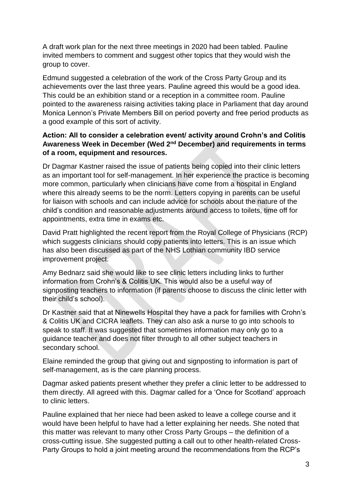A draft work plan for the next three meetings in 2020 had been tabled. Pauline invited members to comment and suggest other topics that they would wish the group to cover.

Edmund suggested a celebration of the work of the Cross Party Group and its achievements over the last three years. Pauline agreed this would be a good idea. This could be an exhibition stand or a reception in a committee room. Pauline pointed to the awareness raising activities taking place in Parliament that day around Monica Lennon's Private Members Bill on period poverty and free period products as a good example of this sort of activity.

### **Action: All to consider a celebration event/ activity around Crohn's and Colitis Awareness Week in December (Wed 2nd December) and requirements in terms of a room, equipment and resources.**

Dr Dagmar Kastner raised the issue of patients being copied into their clinic letters as an important tool for self-management. In her experience the practice is becoming more common, particularly when clinicians have come from a hospital in England where this already seems to be the norm. Letters copying in parents can be useful for liaison with schools and can include advice for schools about the nature of the child's condition and reasonable adjustments around access to toilets, time off for appointments, extra time in exams etc.

David Pratt highlighted the recent report from the Royal College of Physicians (RCP) which suggests clinicians should copy patients into letters. This is an issue which has also been discussed as part of the NHS Lothian community IBD service improvement project.

Amy Bednarz said she would like to see clinic letters including links to further information from Crohn's & Colitis UK. This would also be a useful way of signposting teachers to information (if parents choose to discuss the clinic letter with their child's school).

Dr Kastner said that at Ninewells Hospital they have a pack for families with Crohn's & Colitis UK and CICRA leaflets. They can also ask a nurse to go into schools to speak to staff. It was suggested that sometimes information may only go to a guidance teacher and does not filter through to all other subject teachers in secondary school.

Elaine reminded the group that giving out and signposting to information is part of self-management, as is the care planning process.

Dagmar asked patients present whether they prefer a clinic letter to be addressed to them directly. All agreed with this. Dagmar called for a 'Once for Scotland' approach to clinic letters.

Pauline explained that her niece had been asked to leave a college course and it would have been helpful to have had a letter explaining her needs. She noted that this matter was relevant to many other Cross Party Groups – the definition of a cross-cutting issue. She suggested putting a call out to other health-related Cross-Party Groups to hold a joint meeting around the recommendations from the RCP's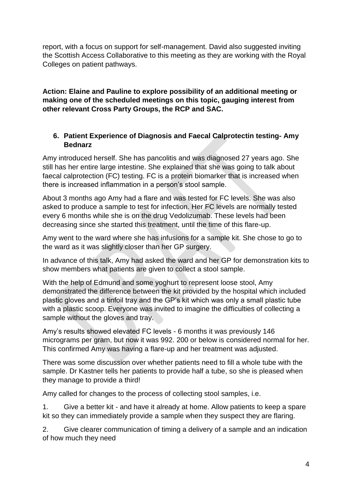report, with a focus on support for self-management. David also suggested inviting the Scottish Access Collaborative to this meeting as they are working with the Royal Colleges on patient pathways.

**Action: Elaine and Pauline to explore possibility of an additional meeting or making one of the scheduled meetings on this topic, gauging interest from other relevant Cross Party Groups, the RCP and SAC.**

# **6. Patient Experience of Diagnosis and Faecal Calprotectin testing- Amy Bednarz**

Amy introduced herself. She has pancolitis and was diagnosed 27 years ago. She still has her entire large intestine. She explained that she was going to talk about faecal calprotection (FC) testing. FC is a protein biomarker that is increased when there is increased inflammation in a person's stool sample.

About 3 months ago Amy had a flare and was tested for FC levels. She was also asked to produce a sample to test for infection. Her FC levels are normally tested every 6 months while she is on the drug Vedolizumab. These levels had been decreasing since she started this treatment, until the time of this flare-up.

Amy went to the ward where she has infusions for a sample kit. She chose to go to the ward as it was slightly closer than her GP surgery.

In advance of this talk, Amy had asked the ward and her GP for demonstration kits to show members what patients are given to collect a stool sample.

With the help of Edmund and some yoghurt to represent loose stool, Amy demonstrated the difference between the kit provided by the hospital which included plastic gloves and a tinfoil tray and the GP's kit which was only a small plastic tube with a plastic scoop. Everyone was invited to imagine the difficulties of collecting a sample without the gloves and tray.

Amy's results showed elevated FC levels - 6 months it was previously 146 micrograms per gram, but now it was 992. 200 or below is considered normal for her. This confirmed Amy was having a flare-up and her treatment was adjusted.

There was some discussion over whether patients need to fill a whole tube with the sample. Dr Kastner tells her patients to provide half a tube, so she is pleased when they manage to provide a third!

Amy called for changes to the process of collecting stool samples, i.e.

1. Give a better kit - and have it already at home. Allow patients to keep a spare kit so they can immediately provide a sample when they suspect they are flaring.

2. Give clearer communication of timing a delivery of a sample and an indication of how much they need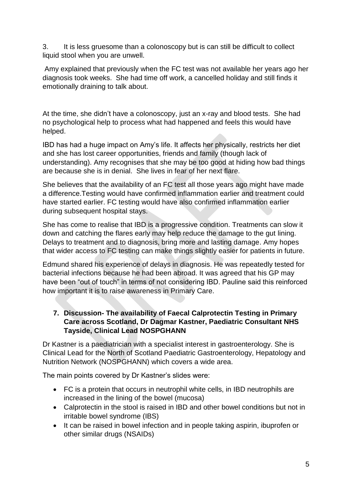3. It is less gruesome than a colonoscopy but is can still be difficult to collect liquid stool when you are unwell.

Amy explained that previously when the FC test was not available her years ago her diagnosis took weeks. She had time off work, a cancelled holiday and still finds it emotionally draining to talk about.

At the time, she didn't have a colonoscopy, just an x-ray and blood tests. She had no psychological help to process what had happened and feels this would have helped.

IBD has had a huge impact on Amy's life. It affects her physically, restricts her diet and she has lost career opportunities, friends and family (though lack of understanding). Amy recognises that she may be too good at hiding how bad things are because she is in denial. She lives in fear of her next flare.

She believes that the availability of an FC test all those years ago might have made a difference.Testing would have confirmed inflammation earlier and treatment could have started earlier. FC testing would have also confirmed inflammation earlier during subsequent hospital stays.

She has come to realise that IBD is a progressive condition. Treatments can slow it down and catching the flares early may help reduce the damage to the gut lining. Delays to treatment and to diagnosis, bring more and lasting damage. Amy hopes that wider access to FC testing can make things slightly easier for patients in future.

Edmund shared his experience of delays in diagnosis. He was repeatedly tested for bacterial infections because he had been abroad. It was agreed that his GP may have been "out of touch" in terms of not considering IBD. Pauline said this reinforced how important it is to raise awareness in Primary Care.

# **7. Discussion- The availability of Faecal Calprotectin Testing in Primary Care across Scotland, Dr Dagmar Kastner, Paediatric Consultant NHS Tayside, Clinical Lead NOSPGHANN**

Dr Kastner is a paediatrician with a specialist interest in gastroenterology. She is Clinical Lead for the North of Scotland Paediatric Gastroenterology, Hepatology and Nutrition Network (NOSPGHANN) which covers a wide area.

The main points covered by Dr Kastner's slides were:

- FC is a protein that occurs in neutrophil white cells, in IBD neutrophils are increased in the lining of the bowel (mucosa)
- Calprotectin in the stool is raised in IBD and other bowel conditions but not in irritable bowel syndrome (IBS)
- It can be raised in bowel infection and in people taking aspirin, ibuprofen or other similar drugs (NSAIDs)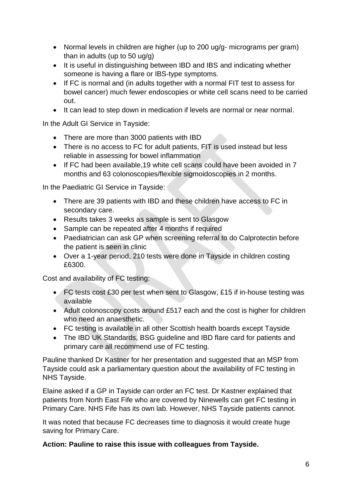- Normal levels in children are higher (up to 200 ug/g- micrograms per gram) than in adults (up to 50 ug/g)
- It is useful in distinguishing between IBD and IBS and indicating whether someone is having a flare or IBS-type symptoms.
- If FC is normal and (in adults together with a normal FIT test to assess for bowel cancer) much fewer endoscopies or white cell scans need to be carried out.
- It can lead to step down in medication if levels are normal or near normal.

In the Adult GI Service in Tayside:

- There are more than 3000 patients with IBD
- There is no access to FC for adult patients, FIT is used instead but less reliable in assessing for bowel inflammation
- If FC had been available,19 white cell scans could have been avoided in 7 months and 63 colonoscopies/flexible sigmoidoscopies in 2 months.

In the Paediatric GI Service in Tayside:

- There are 39 patients with IBD and these children have access to FC in secondary care.
- Results takes 3 weeks as sample is sent to Glasgow
- Sample can be repeated after 4 months if required
- Paediatrician can ask GP when screening referral to do Calprotectin before the patient is seen in clinic
- Over a 1-year period, 210 tests were done in Tayside in children costing £6300.

Cost and availability of FC testing:

- FC tests cost £30 per test when sent to Glasgow, £15 if in-house testing was available
- Adult colonoscopy costs around £517 each and the cost is higher for children who need an anaesthetic.
- FC testing is available in all other Scottish health boards except Tayside
- The IBD UK Standards, BSG guideline and IBD flare card for patients and primary care all recommend use of FC testing.

Pauline thanked Dr Kastner for her presentation and suggested that an MSP from Tayside could ask a parliamentary question about the availability of FC testing in NHS Tayside.

Elaine asked if a GP in Tayside can order an FC test. Dr Kastner explained that patients from North East Fife who are covered by Ninewells can get FC testing in Primary Care. NHS Fife has its own lab. However, NHS Tayside patients cannot.

It was noted that because FC decreases time to diagnosis it would create huge saving for Primary Care.

**Action: Pauline to raise this issue with colleagues from Tayside.**